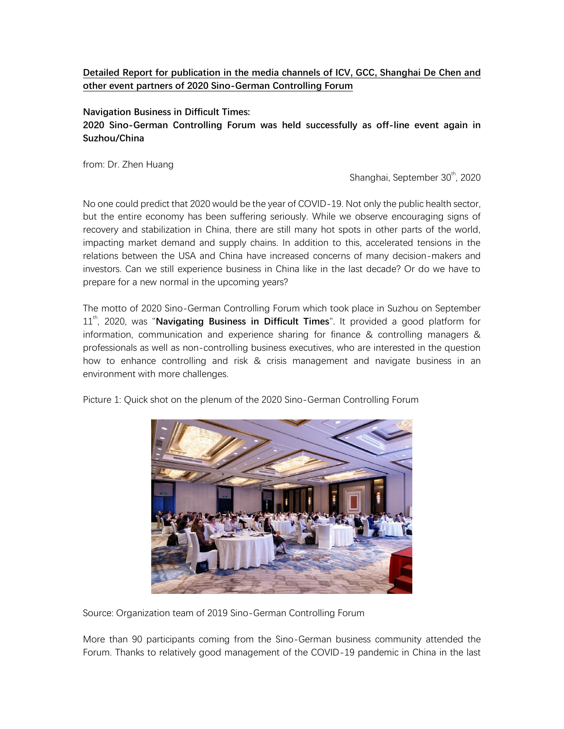## **Detailed Report for publication in the media channels of ICV, GCC, Shanghai De Chen and other event partners of 2020 Sino-German Controlling Forum**

**Navigation Business in Difficult Times:**

## **2020 Sino-German Controlling Forum was held successfully as off-line event again in Suzhou/China**

from: Dr. Zhen Huang

Shanghai, September 30<sup>th</sup>, 2020

No one could predict that 2020 would be the year of COVID-19. Not only the public health sector, but the entire economy has been suffering seriously. While we observe encouraging signs of recovery and stabilization in China, there are still many hot spots in other parts of the world, impacting market demand and supply chains. In addition to this, accelerated tensions in the relations between the USA and China have increased concerns of many decision-makers and investors. Can we still experience business in China like in the last decade? Or do we have to prepare for a new normal in the upcoming years?

The motto of 2020 Sino-German Controlling Forum which took place in Suzhou on September 11<sup>th</sup>, 2020, was "**Navigating Business in Difficult Times**". It provided a good platform for information, communication and experience sharing for finance & controlling managers & professionals as well as non-controlling business executives, who are interested in the question how to enhance controlling and risk & crisis management and navigate business in an environment with more challenges.

Picture 1: Quick shot on the plenum of the 2020 Sino-German Controlling Forum



Source: Organization team of 2019 Sino-German Controlling Forum

More than 90 participants coming from the Sino-German business community attended the Forum. Thanks to relatively good management of the COVID-19 pandemic in China in the last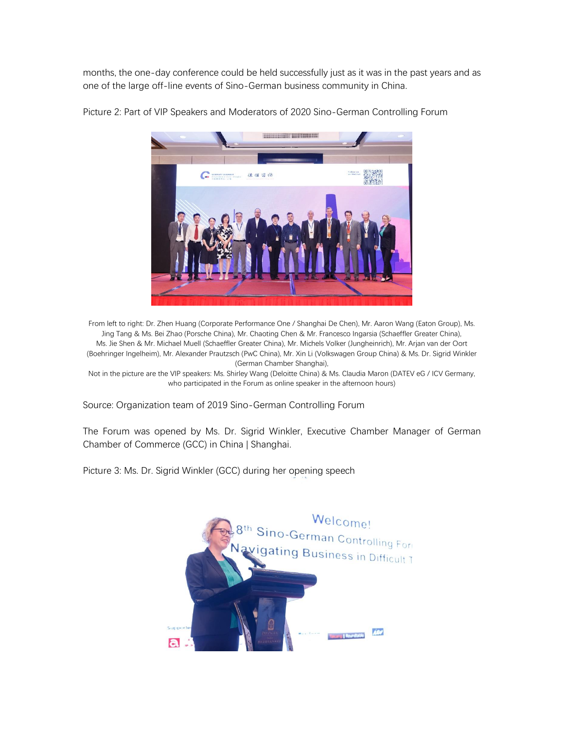months, the one-day conference could be held successfully just as it was in the past years and as one of the large off-line events of Sino-German business community in China.



Picture 2: Part of VIP Speakers and Moderators of 2020 Sino-German Controlling Forum

From left to right: Dr. Zhen Huang (Corporate Performance One / Shanghai De Chen), Mr. Aaron Wang (Eaton Group), Ms. Jing Tang & Ms. Bei Zhao (Porsche China), Mr. Chaoting Chen & Mr. Francesco Ingarsia (Schaeffler Greater China), Ms. Jie Shen & Mr. Michael Muell (Schaeffler Greater China), Mr. Michels Volker (Jungheinrich), Mr. Arjan van der Oort (Boehringer Ingelheim), Mr. Alexander Prautzsch (PwC China), Mr. Xin Li (Volkswagen Group China) & Ms. Dr. Sigrid Winkler (German Chamber Shanghai),

Not in the picture are the VIP speakers: Ms. Shirley Wang (Deloitte China) & Ms. Claudia Maron (DATEV eG / ICV Germany, who participated in the Forum as online speaker in the afternoon hours)

Source: Organization team of 2019 Sino-German Controlling Forum

The Forum was opened by Ms. Dr. Sigrid Winkler, Executive Chamber Manager of German Chamber of Commerce (GCC) in China | Shanghai.

Picture 3: Ms. Dr. Sigrid Winkler (GCC) during her opening speech

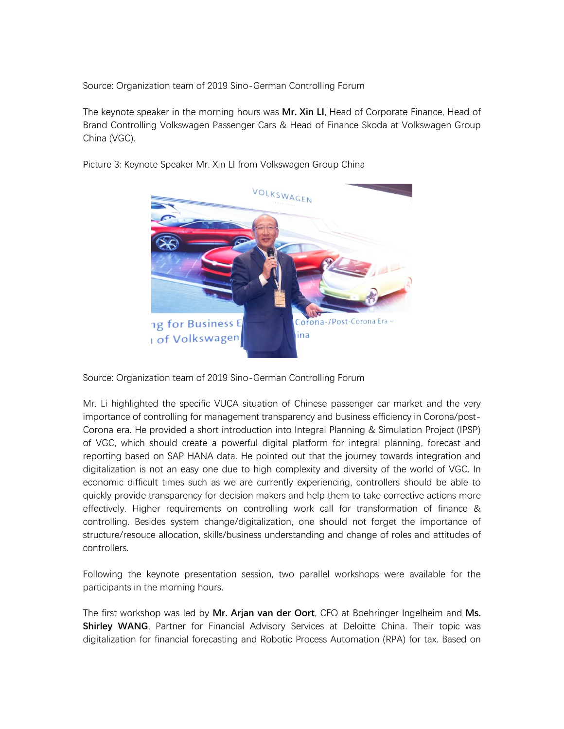The keynote speaker in the morning hours was **Mr. Xin LI**, Head of Corporate Finance, Head of Brand Controlling Volkswagen Passenger Cars & Head of Finance Skoda at Volkswagen Group China (VGC).



Picture 3: Keynote Speaker Mr. Xin LI from Volkswagen Group China

Source: Organization team of 2019 Sino-German Controlling Forum

Mr. Li highlighted the specific VUCA situation of Chinese passenger car market and the very importance of controlling for management transparency and business efficiency in Corona/post-Corona era. He provided a short introduction into Integral Planning & Simulation Project (IPSP) of VGC, which should create a powerful digital platform for integral planning, forecast and reporting based on SAP HANA data. He pointed out that the journey towards integration and digitalization is not an easy one due to high complexity and diversity of the world of VGC. In economic difficult times such as we are currently experiencing, controllers should be able to quickly provide transparency for decision makers and help them to take corrective actions more effectively. Higher requirements on controlling work call for transformation of finance & controlling. Besides system change/digitalization, one should not forget the importance of structure/resouce allocation, skills/business understanding and change of roles and attitudes of controllers.

Following the keynote presentation session, two parallel workshops were available for the participants in the morning hours.

The first workshop was led by **Mr. Arjan van der Oort**, CFO at Boehringer Ingelheim and **Ms. Shirley WANG**, Partner for Financial Advisory Services at Deloitte China. Their topic was digitalization for financial forecasting and Robotic Process Automation (RPA) for tax. Based on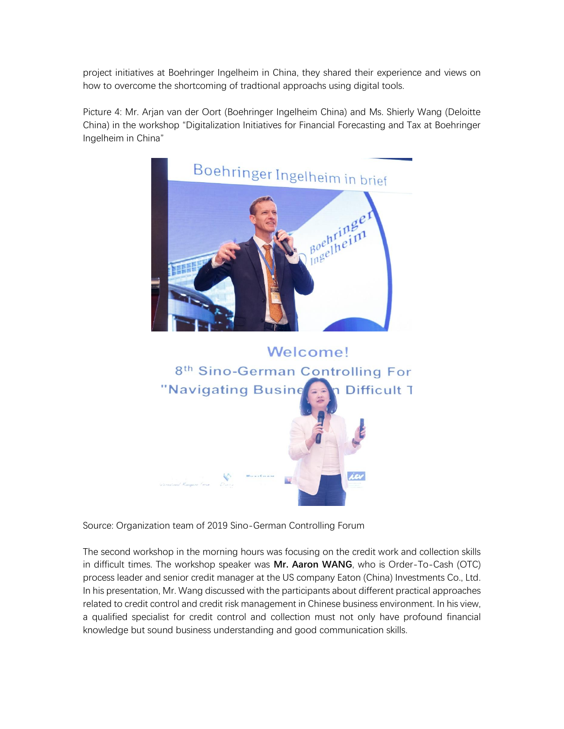project initiatives at Boehringer Ingelheim in China, they shared their experience and views on how to overcome the shortcoming of tradtional approachs using digital tools.

Picture 4: Mr. Arjan van der Oort (Boehringer Ingelheim China) and Ms. Shierly Wang (Deloitte China) in the workshop "Digitalization Initiatives for Financial Forecasting and Tax at Boehringer Ingelheim in China"





Source: Organization team of 2019 Sino-German Controlling Forum

The second workshop in the morning hours was focusing on the credit work and collection skills in difficult times. The workshop speaker was **Mr. Aaron WANG**, who is Order-To-Cash (OTC) process leader and senior credit manager at the US company Eaton (China) Investments Co., Ltd. In his presentation, Mr. Wang discussed with the participants about different practical approaches related to credit control and credit risk management in Chinese business environment. In his view, a qualified specialist for credit control and collection must not only have profound financial knowledge but sound business understanding and good communication skills.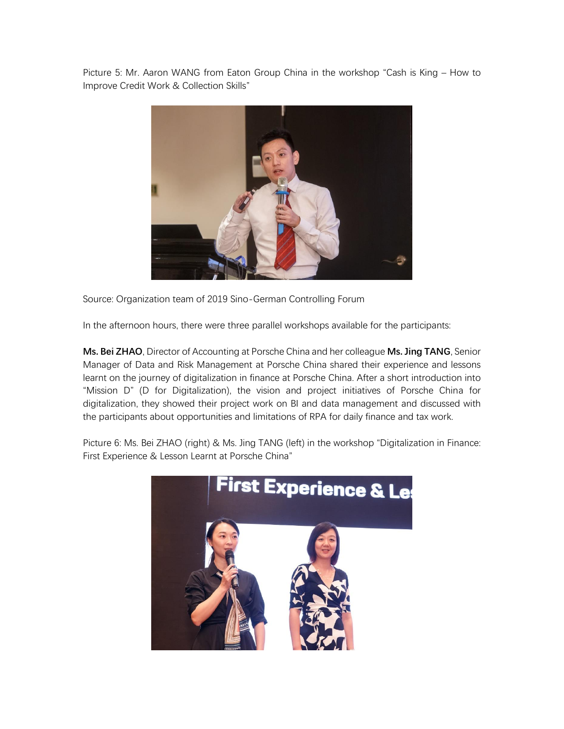Picture 5: Mr. Aaron WANG from Eaton Group China in the workshop "Cash is King – How to Improve Credit Work & Collection Skills"



Source: Organization team of 2019 Sino-German Controlling Forum

In the afternoon hours, there were three parallel workshops available for the participants:

**Ms. Bei ZHAO**, Director of Accounting at Porsche China and her colleague **Ms. Jing TANG**, Senior Manager of Data and Risk Management at Porsche China shared their experience and lessons learnt on the journey of digitalization in finance at Porsche China. After a short introduction into "Mission D" (D for Digitalization), the vision and project initiatives of Porsche China for digitalization, they showed their project work on BI and data management and discussed with the participants about opportunities and limitations of RPA for daily finance and tax work.

Picture 6: Ms. Bei ZHAO (right) & Ms. Jing TANG (left) in the workshop "Digitalization in Finance: First Experience & Lesson Learnt at Porsche China"

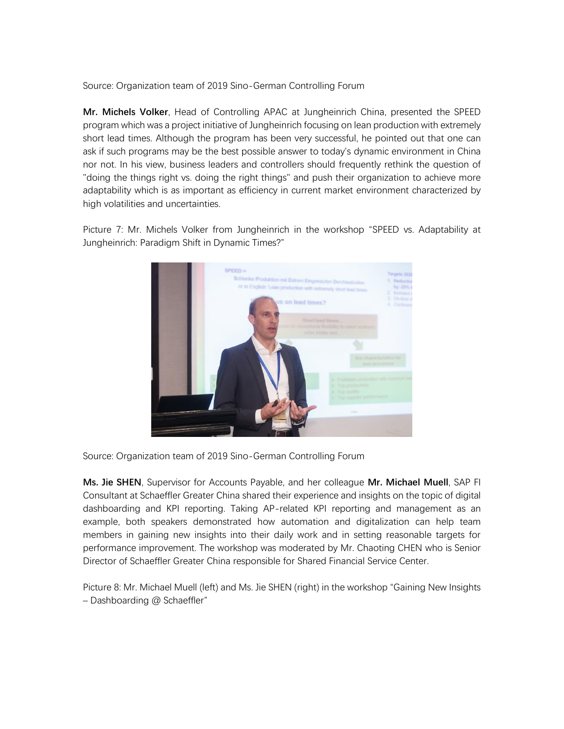**Mr. Michels Volker**, Head of Controlling APAC at Jungheinrich China, presented the SPEED program which was a project initiative of Jungheinrich focusing on lean production with extremely short lead times. Although the program has been very successful, he pointed out that one can ask if such programs may be the best possible answer to today's dynamic environment in China nor not. In his view, business leaders and controllers should frequently rethink the question of "doing the things right vs. doing the right things" and push their organization to achieve more adaptability which is as important as efficiency in current market environment characterized by high volatilities and uncertainties.

Picture 7: Mr. Michels Volker from Jungheinrich in the workshop "SPEED vs. Adaptability at Jungheinrich: Paradigm Shift in Dynamic Times?"



Source: Organization team of 2019 Sino-German Controlling Forum

**Ms. Jie SHEN**, Supervisor for Accounts Payable, and her colleague **Mr. Michael Muell**, SAP FI Consultant at Schaeffler Greater China shared their experience and insights on the topic of digital dashboarding and KPI reporting. Taking AP-related KPI reporting and management as an example, both speakers demonstrated how automation and digitalization can help team members in gaining new insights into their daily work and in setting reasonable targets for performance improvement. The workshop was moderated by Mr. Chaoting CHEN who is Senior Director of Schaeffler Greater China responsible for Shared Financial Service Center.

Picture 8: Mr. Michael Muell (left) and Ms. Jie SHEN (right) in the workshop "Gaining New Insights – Dashboarding @ Schaeffler"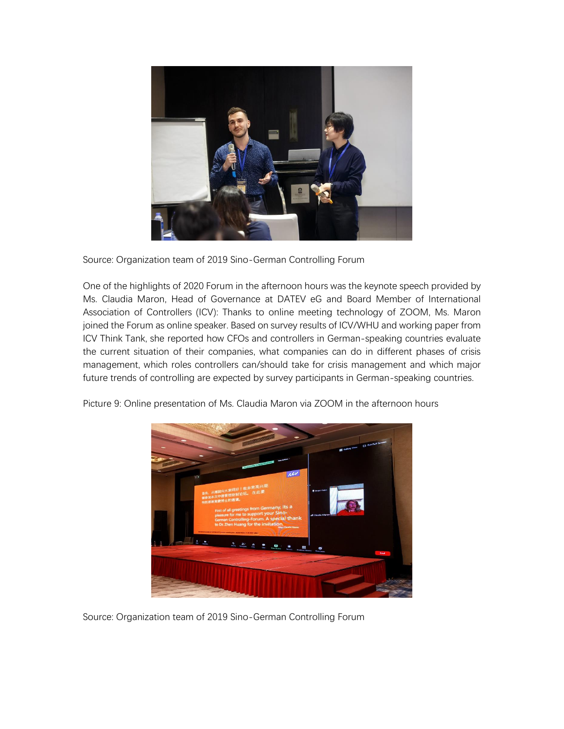

One of the highlights of 2020 Forum in the afternoon hours was the keynote speech provided by Ms. Claudia Maron, Head of Governance at DATEV eG and Board Member of International Association of Controllers (ICV): Thanks to online meeting technology of ZOOM, Ms. Maron joined the Forum as online speaker. Based on survey results of ICV/WHU and working paper from ICV Think Tank, she reported how CFOs and controllers in German-speaking countries evaluate the current situation of their companies, what companies can do in different phases of crisis management, which roles controllers can/should take for crisis management and which major future trends of controlling are expected by survey participants in German-speaking countries.



Picture 9: Online presentation of Ms. Claudia Maron via ZOOM in the afternoon hours

Source: Organization team of 2019 Sino-German Controlling Forum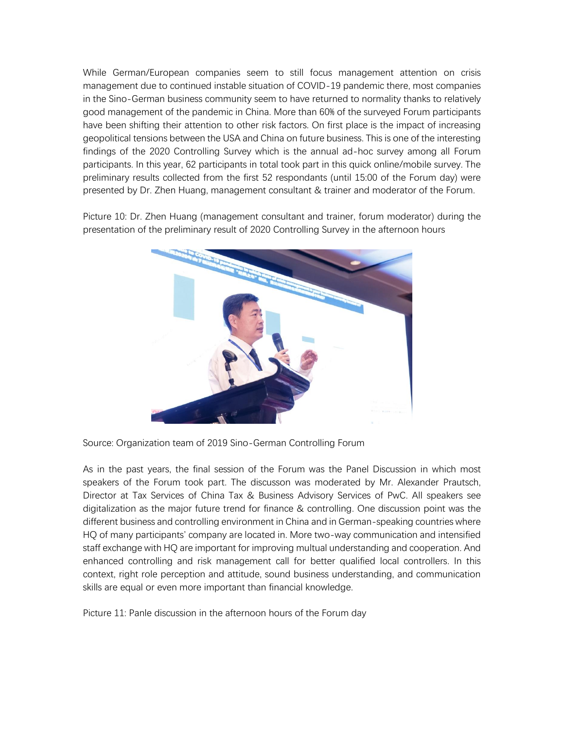While German/European companies seem to still focus management attention on crisis management due to continued instable situation of COVID-19 pandemic there, most companies in the Sino-German business community seem to have returned to normality thanks to relatively good management of the pandemic in China. More than 60% of the surveyed Forum participants have been shifting their attention to other risk factors. On first place is the impact of increasing geopolitical tensions between the USA and China on future business. This is one of the interesting findings of the 2020 Controlling Survey which is the annual ad-hoc survey among all Forum participants. In this year, 62 participants in total took part in this quick online/mobile survey. The preliminary results collected from the first 52 respondants (until 15:00 of the Forum day) were presented by Dr. Zhen Huang, management consultant & trainer and moderator of the Forum.

Picture 10: Dr. Zhen Huang (management consultant and trainer, forum moderator) during the presentation of the preliminary result of 2020 Controlling Survey in the afternoon hours



Source: Organization team of 2019 Sino-German Controlling Forum

As in the past years, the final session of the Forum was the Panel Discussion in which most speakers of the Forum took part. The discusson was moderated by Mr. Alexander Prautsch, Director at Tax Services of China Tax & Business Advisory Services of PwC. All speakers see digitalization as the major future trend for finance & controlling. One discussion point was the different business and controlling environment in China and in German-speaking countries where HQ of many participants' company are located in. More two-way communication and intensified staff exchange with HQ are important for improving multual understanding and cooperation. And enhanced controlling and risk management call for better qualified local controllers. In this context, right role perception and attitude, sound business understanding, and communication skills are equal or even more important than financial knowledge.

Picture 11: Panle discussion in the afternoon hours of the Forum day